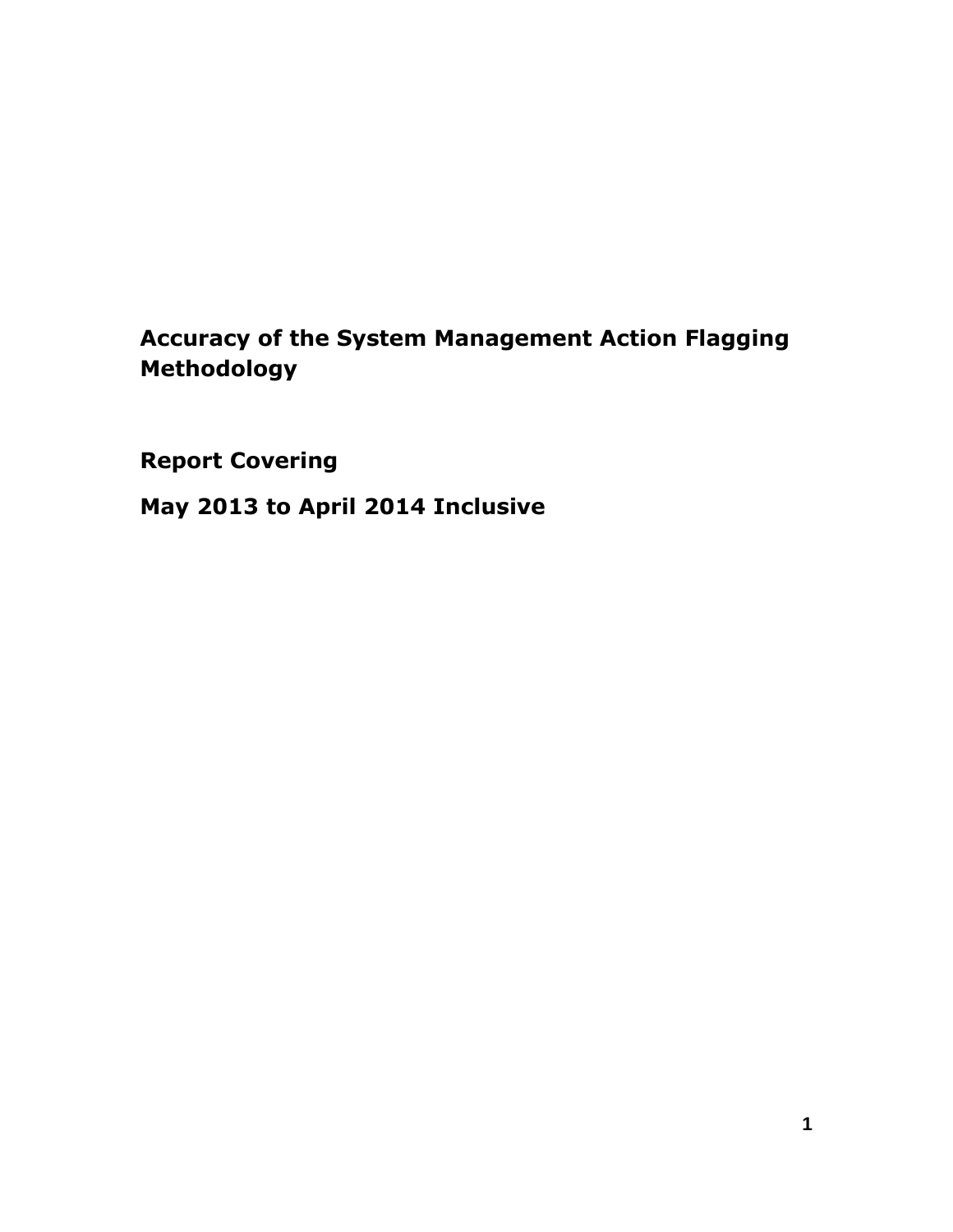# **Accuracy of the System Management Action Flagging Methodology**

**Report Covering**

**May 2013 to April 2014 Inclusive**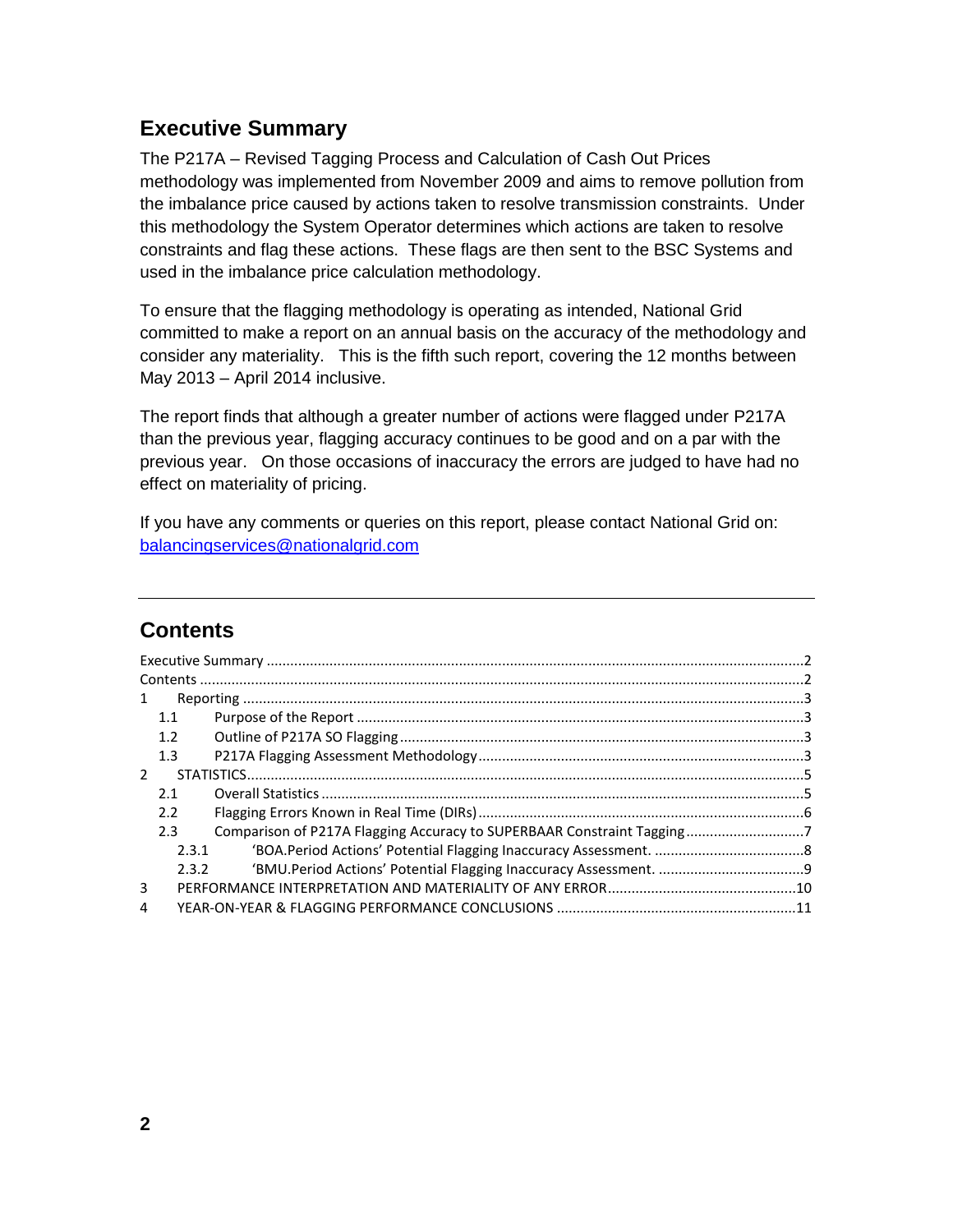## <span id="page-1-0"></span>**Executive Summary**

The P217A – Revised Tagging Process and Calculation of Cash Out Prices methodology was implemented from November 2009 and aims to remove pollution from the imbalance price caused by actions taken to resolve transmission constraints. Under this methodology the System Operator determines which actions are taken to resolve constraints and flag these actions. These flags are then sent to the BSC Systems and used in the imbalance price calculation methodology.

To ensure that the flagging methodology is operating as intended, National Grid committed to make a report on an annual basis on the accuracy of the methodology and consider any materiality. This is the fifth such report, covering the 12 months between May 2013 – April 2014 inclusive.

The report finds that although a greater number of actions were flagged under P217A than the previous year, flagging accuracy continues to be good and on a par with the previous year. On those occasions of inaccuracy the errors are judged to have had no effect on materiality of pricing.

If you have any comments or queries on this report, please contact National Grid on: [balancingservices@nationalgrid.com](mailto:balancingservices@nationalgrid.com)

## <span id="page-1-1"></span>**Contents**

| 1             |       |                                                                        |  |
|---------------|-------|------------------------------------------------------------------------|--|
|               | 1.1   |                                                                        |  |
|               | 1.2   |                                                                        |  |
|               | 1.3   |                                                                        |  |
| $\mathcal{L}$ |       |                                                                        |  |
|               | 2.1   |                                                                        |  |
|               | 2.2   |                                                                        |  |
|               | 2.3   | Comparison of P217A Flagging Accuracy to SUPERBAAR Constraint Tagging7 |  |
|               | 2.3.1 |                                                                        |  |
|               | 2.3.2 |                                                                        |  |
| 3             |       |                                                                        |  |
| 4             |       |                                                                        |  |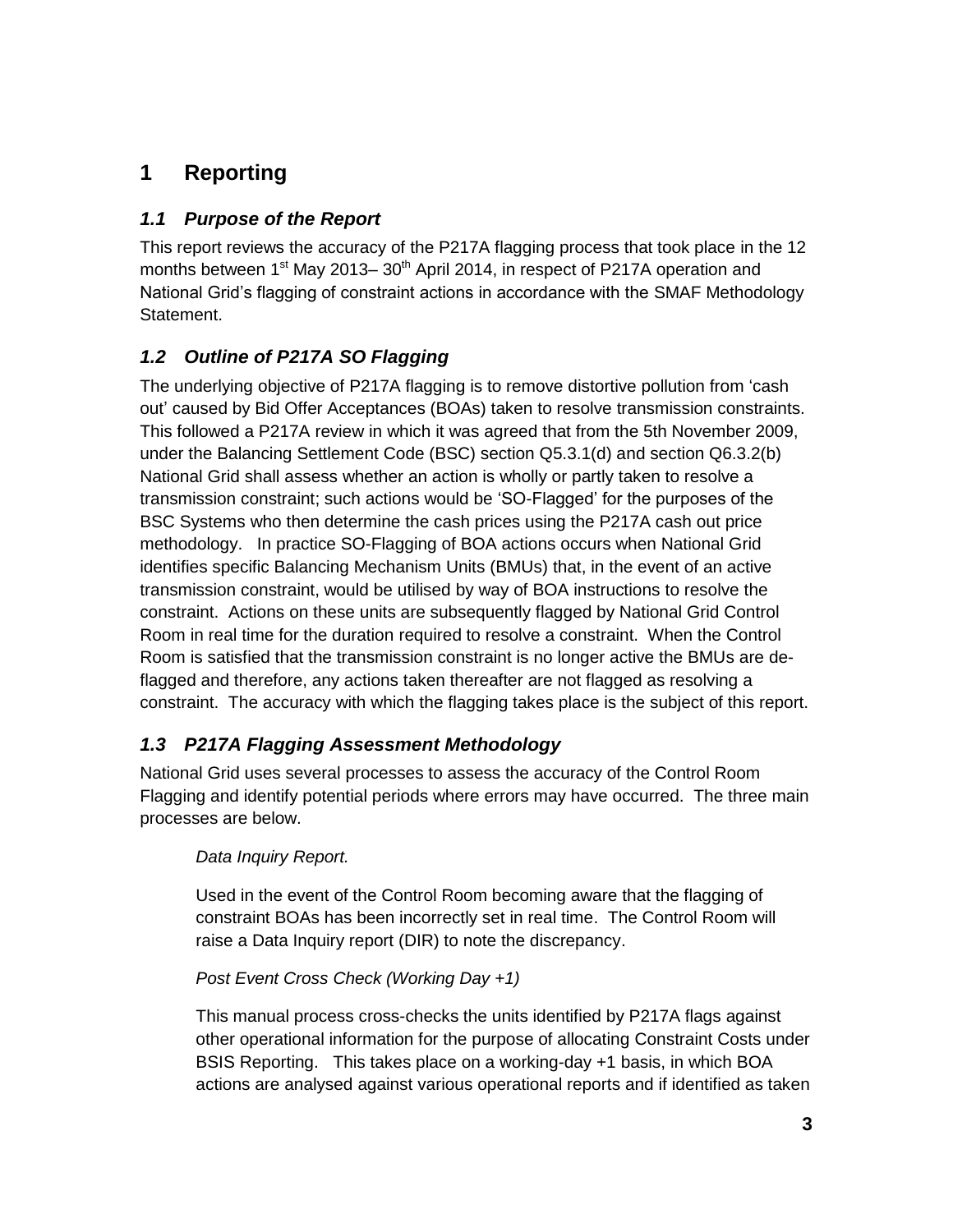# <span id="page-2-0"></span>**1 Reporting**

### <span id="page-2-1"></span>*1.1 Purpose of the Report*

This report reviews the accuracy of the P217A flagging process that took place in the 12 months between 1<sup>st</sup> May 2013– 30<sup>th</sup> April 2014, in respect of P217A operation and National Grid's flagging of constraint actions in accordance with the SMAF Methodology Statement.

## <span id="page-2-2"></span>*1.2 Outline of P217A SO Flagging*

The underlying objective of P217A flagging is to remove distortive pollution from 'cash out' caused by Bid Offer Acceptances (BOAs) taken to resolve transmission constraints. This followed a P217A review in which it was agreed that from the 5th November 2009, under the Balancing Settlement Code (BSC) section Q5.3.1(d) and section Q6.3.2(b) National Grid shall assess whether an action is wholly or partly taken to resolve a transmission constraint; such actions would be 'SO-Flagged' for the purposes of the BSC Systems who then determine the cash prices using the P217A cash out price methodology. In practice SO-Flagging of BOA actions occurs when National Grid identifies specific Balancing Mechanism Units (BMUs) that, in the event of an active transmission constraint, would be utilised by way of BOA instructions to resolve the constraint. Actions on these units are subsequently flagged by National Grid Control Room in real time for the duration required to resolve a constraint. When the Control Room is satisfied that the transmission constraint is no longer active the BMUs are deflagged and therefore, any actions taken thereafter are not flagged as resolving a constraint. The accuracy with which the flagging takes place is the subject of this report.

## <span id="page-2-3"></span>*1.3 P217A Flagging Assessment Methodology*

National Grid uses several processes to assess the accuracy of the Control Room Flagging and identify potential periods where errors may have occurred. The three main processes are below.

### *Data Inquiry Report.*

Used in the event of the Control Room becoming aware that the flagging of constraint BOAs has been incorrectly set in real time. The Control Room will raise a Data Inquiry report (DIR) to note the discrepancy.

### *Post Event Cross Check (Working Day +1)*

This manual process cross-checks the units identified by P217A flags against other operational information for the purpose of allocating Constraint Costs under BSIS Reporting. This takes place on a working-day +1 basis, in which BOA actions are analysed against various operational reports and if identified as taken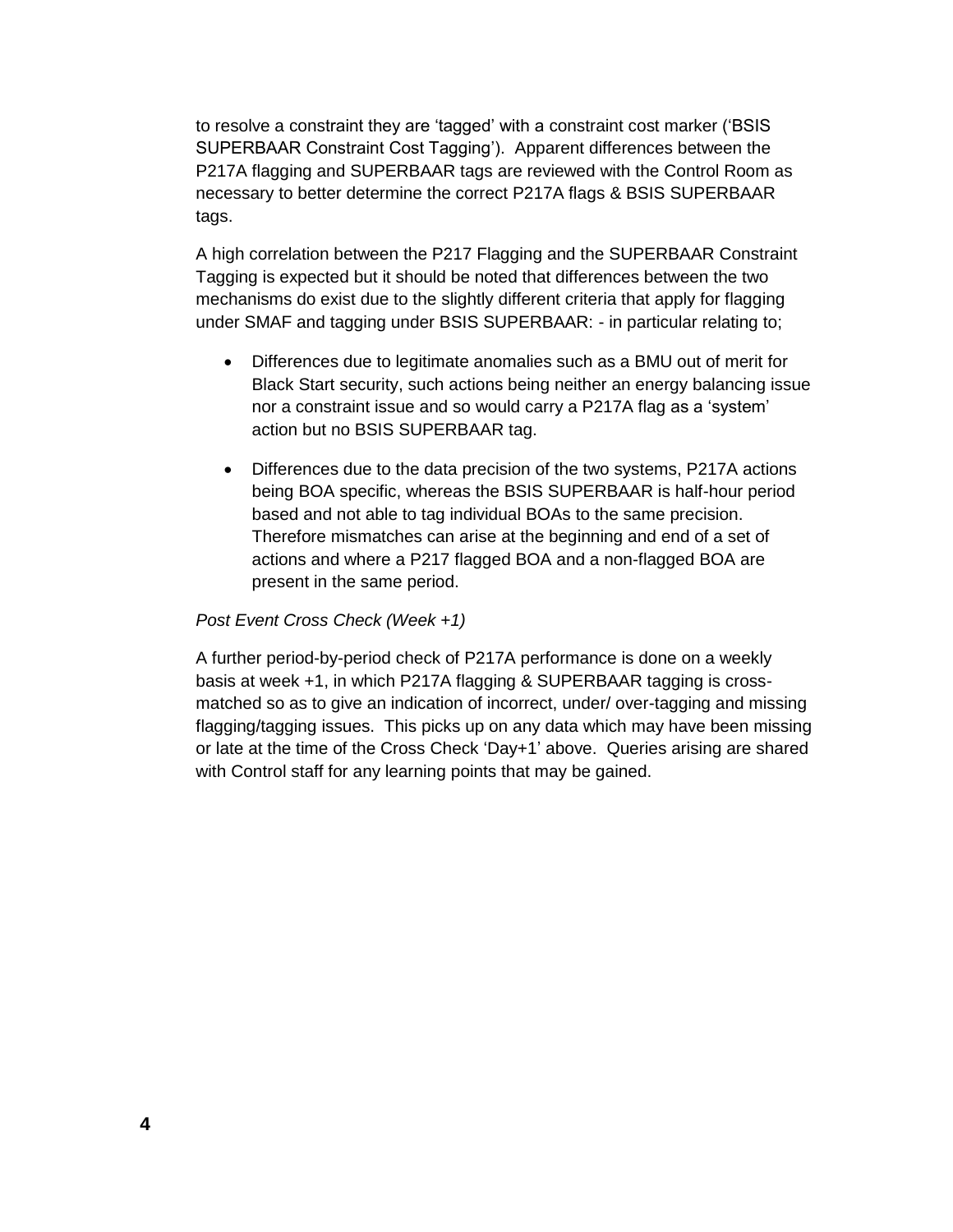to resolve a constraint they are 'tagged' with a constraint cost marker ('BSIS SUPERBAAR Constraint Cost Tagging'). Apparent differences between the P217A flagging and SUPERBAAR tags are reviewed with the Control Room as necessary to better determine the correct P217A flags & BSIS SUPERBAAR tags.

A high correlation between the P217 Flagging and the SUPERBAAR Constraint Tagging is expected but it should be noted that differences between the two mechanisms do exist due to the slightly different criteria that apply for flagging under SMAF and tagging under BSIS SUPERBAAR: - in particular relating to;

- Differences due to legitimate anomalies such as a BMU out of merit for Black Start security, such actions being neither an energy balancing issue nor a constraint issue and so would carry a P217A flag as a 'system' action but no BSIS SUPERBAAR tag.
- Differences due to the data precision of the two systems, P217A actions being BOA specific, whereas the BSIS SUPERBAAR is half-hour period based and not able to tag individual BOAs to the same precision. Therefore mismatches can arise at the beginning and end of a set of actions and where a P217 flagged BOA and a non-flagged BOA are present in the same period.

#### *Post Event Cross Check (Week +1)*

A further period-by-period check of P217A performance is done on a weekly basis at week +1, in which P217A flagging & SUPERBAAR tagging is crossmatched so as to give an indication of incorrect, under/ over-tagging and missing flagging/tagging issues. This picks up on any data which may have been missing or late at the time of the Cross Check 'Day+1' above. Queries arising are shared with Control staff for any learning points that may be gained.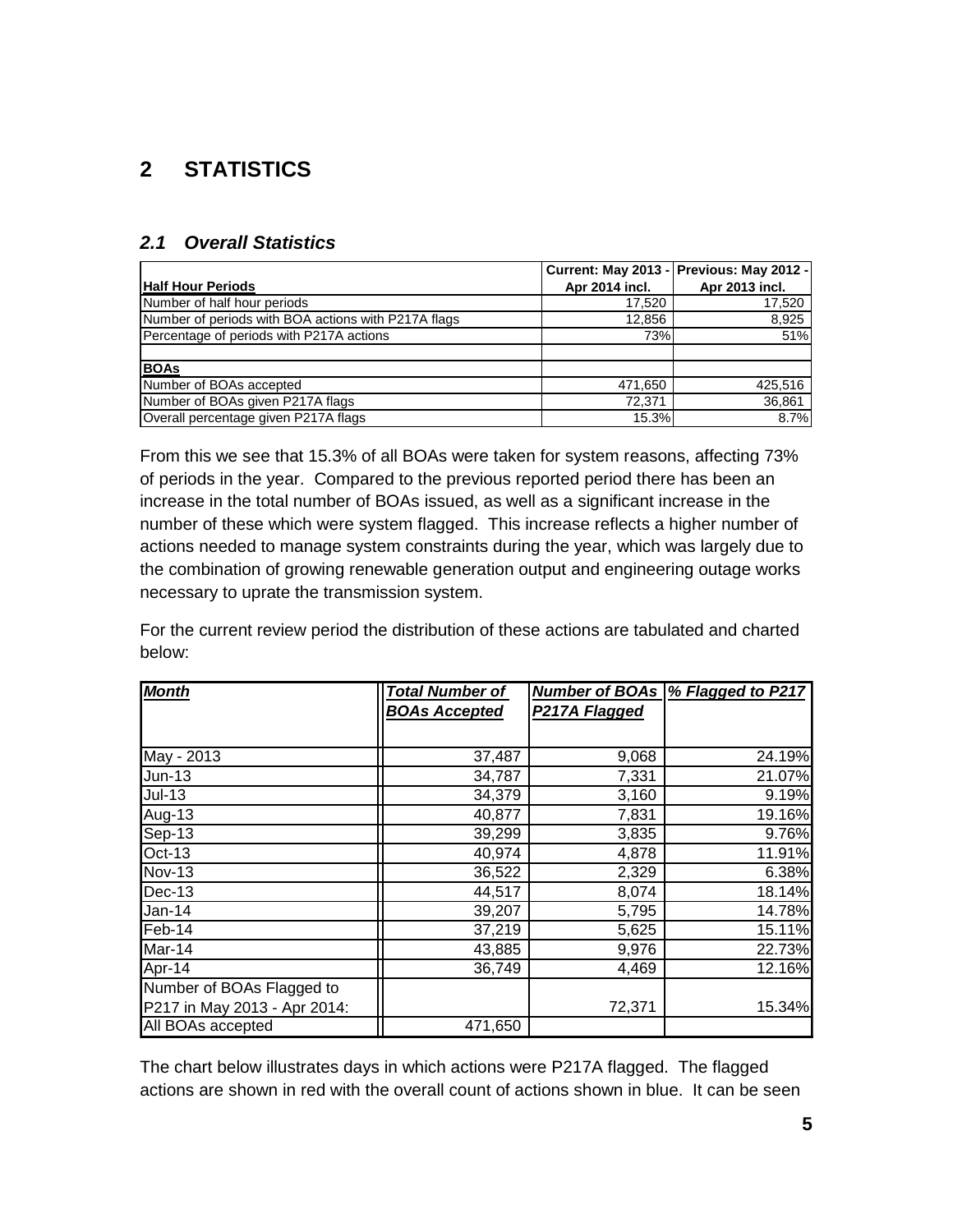# <span id="page-4-0"></span>**2 STATISTICS**

### <span id="page-4-1"></span>*2.1 Overall Statistics*

|                                                     |                | Current: May 2013 - Previous: May 2012 - |
|-----------------------------------------------------|----------------|------------------------------------------|
| <b>Half Hour Periods</b>                            | Apr 2014 incl. | Apr 2013 incl.                           |
| Number of half hour periods                         | 17.520         | 17,520                                   |
| Number of periods with BOA actions with P217A flags | 12,856         | 8,925                                    |
| Percentage of periods with P217A actions            | 73%            | 51%                                      |
|                                                     |                |                                          |
| <b>BOAs</b>                                         |                |                                          |
| Number of BOAs accepted                             | 471,650        | 425,516                                  |
| Number of BOAs given P217A flags                    | 72.371         | 36,861                                   |
| Overall percentage given P217A flags                | 15.3%          | 8.7%                                     |

From this we see that 15.3% of all BOAs were taken for system reasons, affecting 73% of periods in the year. Compared to the previous reported period there has been an increase in the total number of BOAs issued, as well as a significant increase in the number of these which were system flagged. This increase reflects a higher number of actions needed to manage system constraints during the year, which was largely due to the combination of growing renewable generation output and engineering outage works necessary to uprate the transmission system.

For the current review period the distribution of these actions are tabulated and charted below:

| <b>Month</b>                 | <b>Total Number of</b> | <b>Number of BOAs</b> | % Flagged to P217 |
|------------------------------|------------------------|-----------------------|-------------------|
|                              | <b>BOAs Accepted</b>   | P217A Flagged         |                   |
|                              |                        |                       |                   |
| May - 2013                   | 37,487                 | 9,068                 | 24.19%            |
| $Jun-13$                     | 34,787                 | 7,331                 | 21.07%            |
| $Jul-13$                     | 34,379                 | 3,160                 | 9.19%             |
| Aug-13                       | 40,877                 | 7,831                 | 19.16%            |
| Sep-13                       | 39,299                 | 3,835                 | 9.76%             |
| Oct-13                       | 40,974                 | 4,878                 | 11.91%            |
| <b>Nov-13</b>                | 36,522                 | 2,329                 | 6.38%             |
| $Dec-13$                     | 44,517                 | 8,074                 | 18.14%            |
| $Jan-14$                     | 39,207                 | 5,795                 | 14.78%            |
| Feb-14                       | 37,219                 | 5,625                 | 15.11%            |
| Mar-14                       | 43,885                 | 9,976                 | 22.73%            |
| Apr-14                       | 36,749                 | 4,469                 | 12.16%            |
| Number of BOAs Flagged to    |                        |                       |                   |
| P217 in May 2013 - Apr 2014: |                        | 72,371                | 15.34%            |
| All BOAs accepted            | 471,650                |                       |                   |

The chart below illustrates days in which actions were P217A flagged. The flagged actions are shown in red with the overall count of actions shown in blue. It can be seen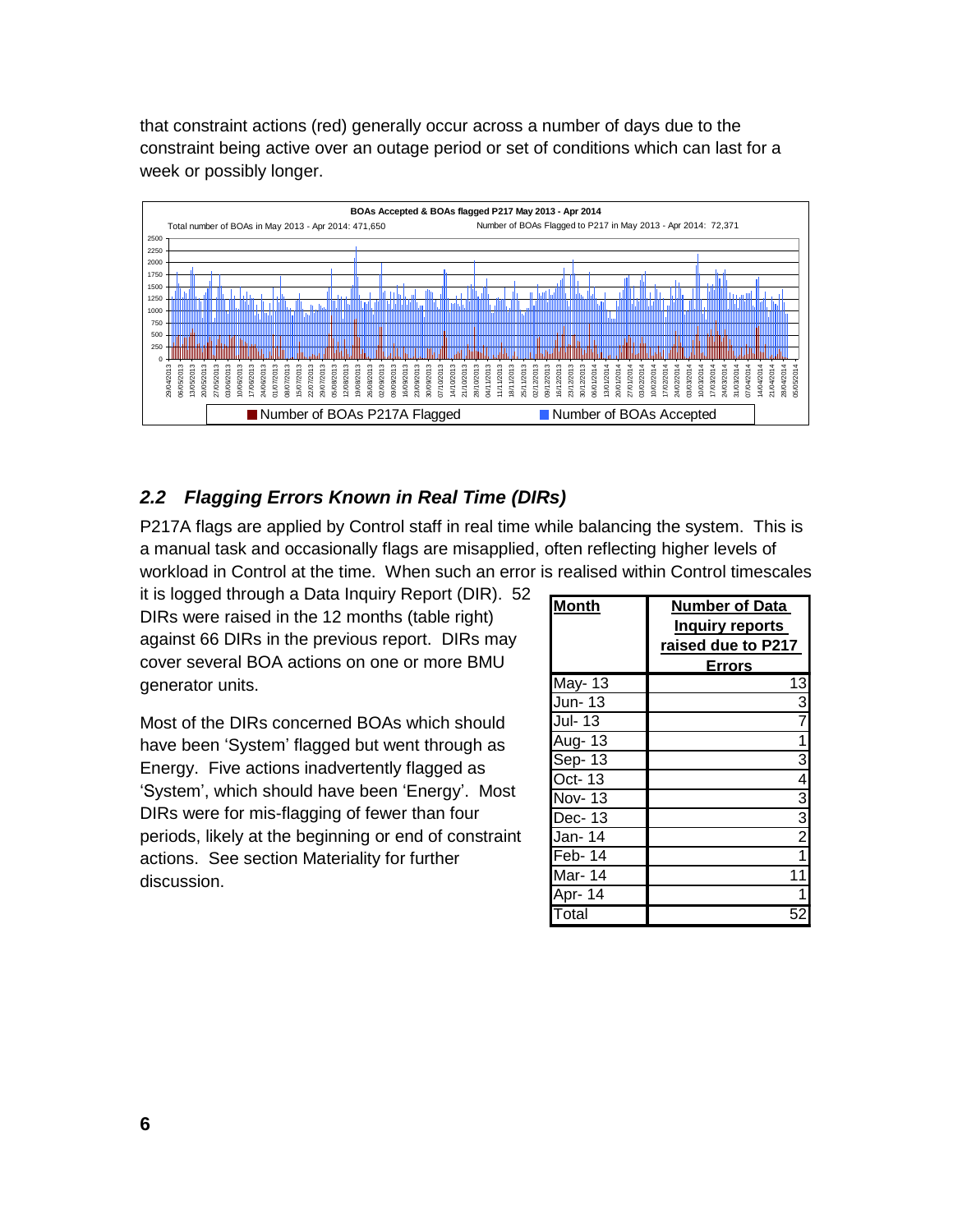that constraint actions (red) generally occur across a number of days due to the constraint being active over an outage period or set of conditions which can last for a week or possibly longer.



### <span id="page-5-0"></span>*2.2 Flagging Errors Known in Real Time (DIRs)*

P217A flags are applied by Control staff in real time while balancing the system. This is a manual task and occasionally flags are misapplied, often reflecting higher levels of workload in Control at the time. When such an error is realised within Control timescales

it is logged through a Data Inquiry Report (DIR). 52 DIRs were raised in the 12 months (table right) against 66 DIRs in the previous report. DIRs may cover several BOA actions on one or more BMU generator units.

Most of the DIRs concerned BOAs which should have been 'System' flagged but went through as Energy. Five actions inadvertently flagged as 'System', which should have been 'Energy'. Most DIRs were for mis-flagging of fewer than four periods, likely at the beginning or end of constraint actions. See section Materiality for further discussion.

| <b>Month</b>                | <b>Number of Data</b><br><b>Inquiry reports</b> |
|-----------------------------|-------------------------------------------------|
|                             | raised due to P217                              |
|                             | Errors                                          |
| May-13                      | 13                                              |
| Jun-13                      | $\overline{3}$                                  |
| Jul-13                      | $\overline{7}$                                  |
| Aug- 13                     | 1                                               |
| Sep-13                      | $\overline{3}$                                  |
| Oct-13                      | 4                                               |
| <b>Nov-13</b>               |                                                 |
| Dec-13                      |                                                 |
| Jan- 14                     | $\frac{3}{2}$                                   |
| Feb-14                      | $\overline{1}$                                  |
| Mar-14                      | 11                                              |
| Apr- 14                     | 1                                               |
| $\overline{\mathsf{Total}}$ |                                                 |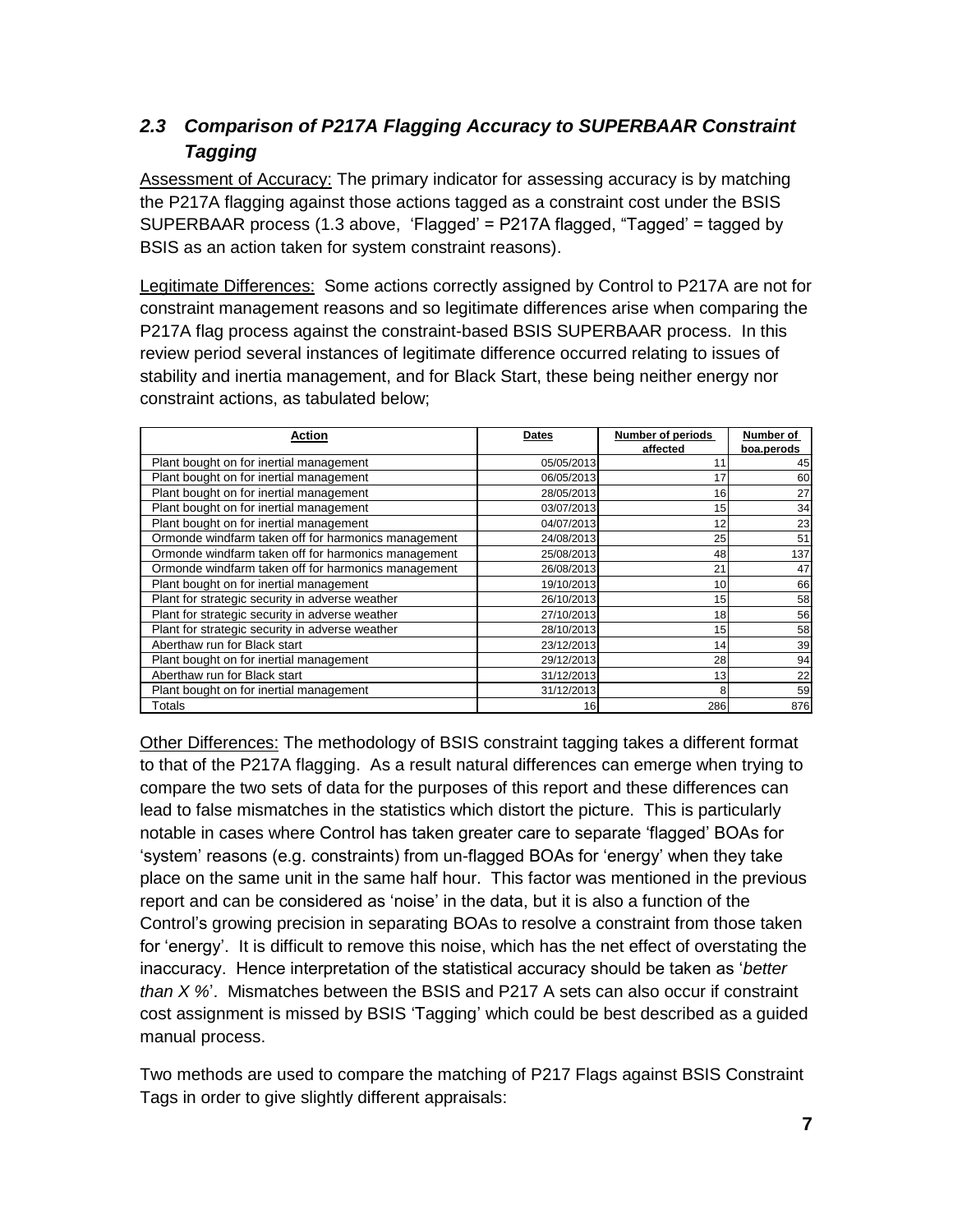## <span id="page-6-0"></span>*2.3 Comparison of P217A Flagging Accuracy to SUPERBAAR Constraint Tagging*

Assessment of Accuracy: The primary indicator for assessing accuracy is by matching the P217A flagging against those actions tagged as a constraint cost under the BSIS SUPERBAAR process (1.3 above, 'Flagged' = P217A flagged, "Tagged' = tagged by BSIS as an action taken for system constraint reasons).

Legitimate Differences: Some actions correctly assigned by Control to P217A are not for constraint management reasons and so legitimate differences arise when comparing the P217A flag process against the constraint-based BSIS SUPERBAAR process. In this review period several instances of legitimate difference occurred relating to issues of stability and inertia management, and for Black Start, these being neither energy nor constraint actions, as tabulated below;

| <b>Action</b>                                       | Dates      | Number of periods | Number of  |
|-----------------------------------------------------|------------|-------------------|------------|
|                                                     |            | affected          | boa.perods |
| Plant bought on for inertial management             | 05/05/2013 | 11                | 45         |
| Plant bought on for inertial management             | 06/05/2013 | 17                | 60         |
| Plant bought on for inertial management             | 28/05/2013 | 16                | 27         |
| Plant bought on for inertial management             | 03/07/2013 | 15                | 34         |
| Plant bought on for inertial management             | 04/07/2013 | 12                | 23         |
| Ormonde windfarm taken off for harmonics management | 24/08/2013 | 25                | 51         |
| Ormonde windfarm taken off for harmonics management | 25/08/2013 | 48                | 137        |
| Ormonde windfarm taken off for harmonics management | 26/08/2013 | 21                | 47         |
| Plant bought on for inertial management             | 19/10/2013 | 10                | 66         |
| Plant for strategic security in adverse weather     | 26/10/2013 | 15                | 58         |
| Plant for strategic security in adverse weather     | 27/10/2013 | 18                | 56         |
| Plant for strategic security in adverse weather     | 28/10/2013 | 15                | 58         |
| Aberthaw run for Black start                        | 23/12/2013 | 14                | 39         |
| Plant bought on for inertial management             | 29/12/2013 | 28                | 94         |
| Aberthaw run for Black start                        | 31/12/2013 | 13                | 22         |
| Plant bought on for inertial management             | 31/12/2013 | 8                 | 59         |
| Totals                                              | 16         | 286               | 876        |

Other Differences: The methodology of BSIS constraint tagging takes a different format to that of the P217A flagging. As a result natural differences can emerge when trying to compare the two sets of data for the purposes of this report and these differences can lead to false mismatches in the statistics which distort the picture. This is particularly notable in cases where Control has taken greater care to separate 'flagged' BOAs for 'system' reasons (e.g. constraints) from un-flagged BOAs for 'energy' when they take place on the same unit in the same half hour. This factor was mentioned in the previous report and can be considered as 'noise' in the data, but it is also a function of the Control's growing precision in separating BOAs to resolve a constraint from those taken for 'energy'. It is difficult to remove this noise, which has the net effect of overstating the inaccuracy. Hence interpretation of the statistical accuracy should be taken as '*better than X %*'. Mismatches between the BSIS and P217 A sets can also occur if constraint cost assignment is missed by BSIS 'Tagging' which could be best described as a guided manual process.

Two methods are used to compare the matching of P217 Flags against BSIS Constraint Tags in order to give slightly different appraisals: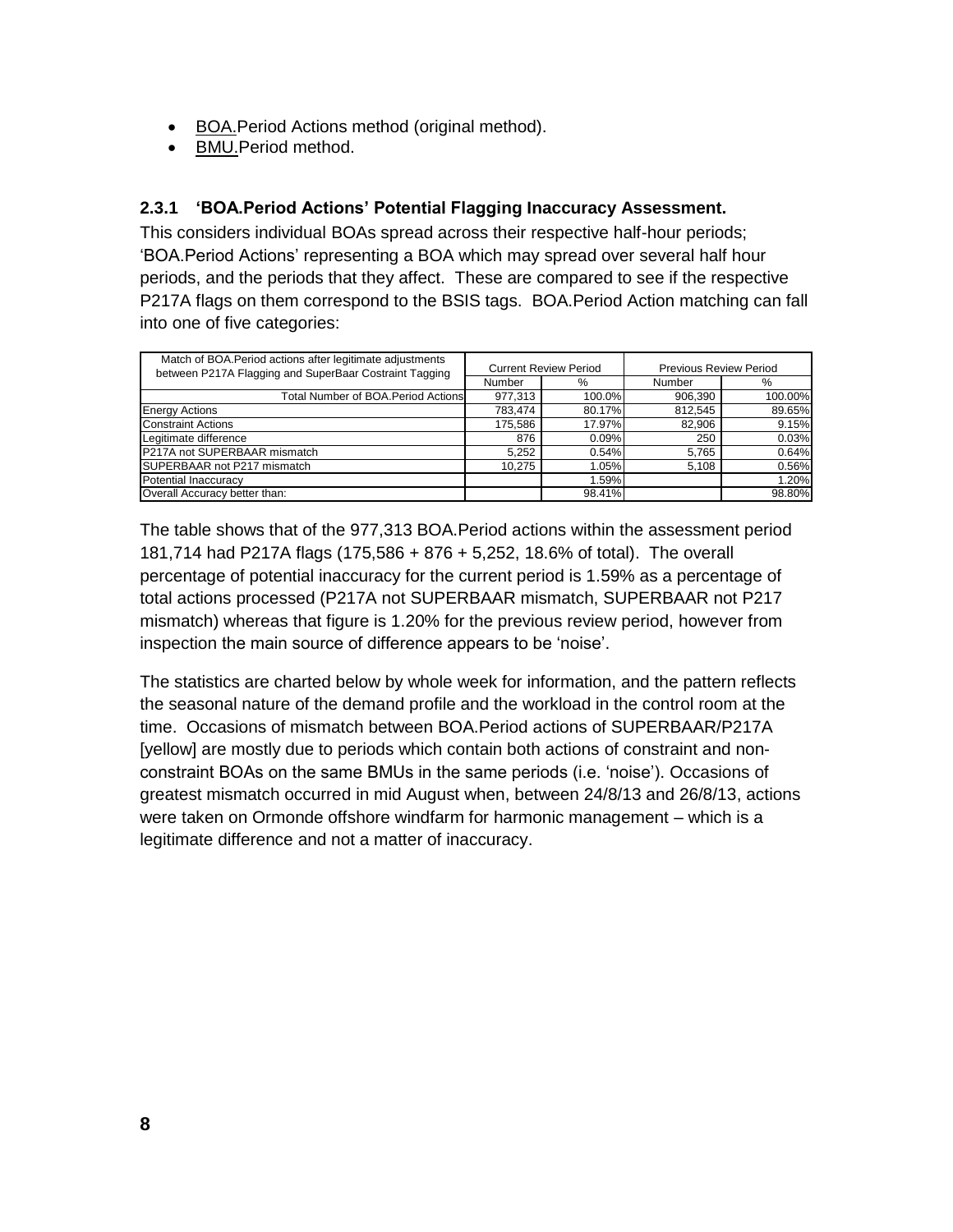- BOA.Period Actions method (original method).
- BMU.Period method.

### <span id="page-7-0"></span>**2.3.1 'BOA.Period Actions' Potential Flagging Inaccuracy Assessment.**

This considers individual BOAs spread across their respective half-hour periods; 'BOA.Period Actions' representing a BOA which may spread over several half hour periods, and the periods that they affect. These are compared to see if the respective P217A flags on them correspond to the BSIS tags. BOA.Period Action matching can fall into one of five categories:

| Match of BOA. Period actions after legitimate adjustments<br>between P217A Flagging and SuperBaar Costraint Tagging | <b>Current Review Period</b> |        | <b>Previous Review Period</b> |         |
|---------------------------------------------------------------------------------------------------------------------|------------------------------|--------|-------------------------------|---------|
|                                                                                                                     | Number                       | %      | Number                        | $\%$    |
| Total Number of BOA.Period Actions                                                                                  | 977,313                      | 100.0% | 906,390                       | 100.00% |
| <b>Energy Actions</b>                                                                                               | 783,474                      | 80.17% | 812,545                       | 89.65%  |
| <b>Constraint Actions</b>                                                                                           | 175,586                      | 17.97% | 82,906                        | 9.15%   |
| Legitimate difference                                                                                               | 876                          | 0.09%  | 250                           | 0.03%   |
| P217A not SUPERBAAR mismatch                                                                                        | 5.252                        | 0.54%  | 5.765                         | 0.64%   |
| SUPERBAAR not P217 mismatch                                                                                         | 10.275                       | 1.05%  | 5,108                         | 0.56%   |
| Potential Inaccuracy                                                                                                |                              | 1.59%  |                               | 1.20%   |
| Overall Accuracy better than:                                                                                       |                              | 98.41% |                               | 98.80%  |

The table shows that of the 977,313 BOA.Period actions within the assessment period 181,714 had P217A flags (175,586 + 876 + 5,252, 18.6% of total). The overall percentage of potential inaccuracy for the current period is 1.59% as a percentage of total actions processed (P217A not SUPERBAAR mismatch, SUPERBAAR not P217 mismatch) whereas that figure is 1.20% for the previous review period, however from inspection the main source of difference appears to be 'noise'.

The statistics are charted below by whole week for information, and the pattern reflects the seasonal nature of the demand profile and the workload in the control room at the time. Occasions of mismatch between BOA.Period actions of SUPERBAAR/P217A [yellow] are mostly due to periods which contain both actions of constraint and nonconstraint BOAs on the same BMUs in the same periods (i.e. 'noise'). Occasions of greatest mismatch occurred in mid August when, between 24/8/13 and 26/8/13, actions were taken on Ormonde offshore windfarm for harmonic management – which is a legitimate difference and not a matter of inaccuracy.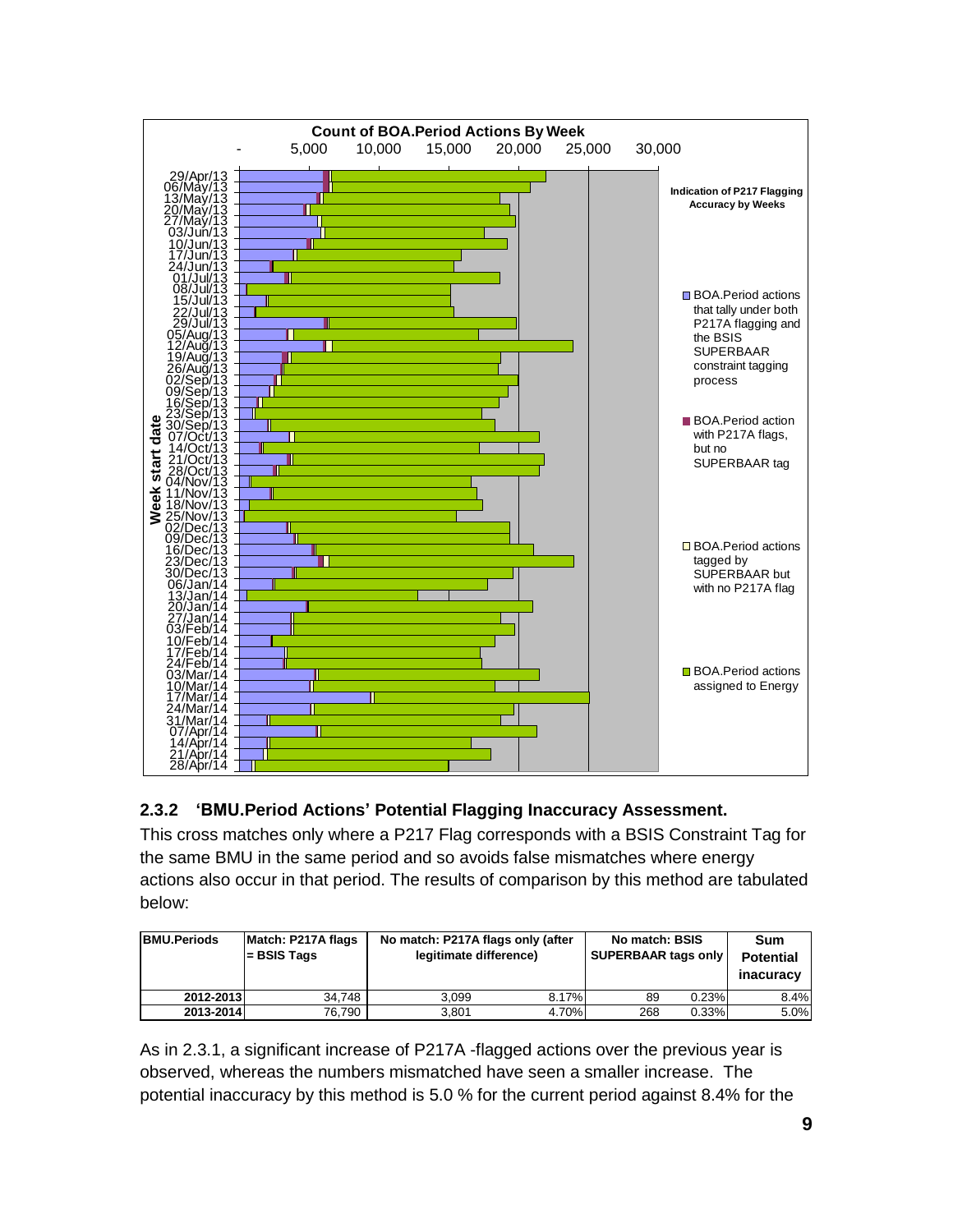

### <span id="page-8-0"></span>**2.3.2 'BMU.Period Actions' Potential Flagging Inaccuracy Assessment.**

This cross matches only where a P217 Flag corresponds with a BSIS Constraint Tag for the same BMU in the same period and so avoids false mismatches where energy actions also occur in that period. The results of comparison by this method are tabulated below:

| <b>BMU.Periods</b> | Match: P217A flags<br>- BSIS Tags | No match: P217A flags only (after<br>legitimate difference) |       | No match: BSIS<br><b>SUPERBAAR tags only</b> |       | Sum<br><b>Potential</b><br>inacuracy |
|--------------------|-----------------------------------|-------------------------------------------------------------|-------|----------------------------------------------|-------|--------------------------------------|
| 2012-2013          | 34.748                            | 3.099                                                       | 8.17% | 89                                           | 0.23% | 8.4%                                 |
| 2013-2014          | 76.790                            | 3.801                                                       | 4.70% | 268                                          | 0.33% | 5.0%                                 |

As in 2.3.1, a significant increase of P217A -flagged actions over the previous year is observed, whereas the numbers mismatched have seen a smaller increase. The potential inaccuracy by this method is 5.0 % for the current period against 8.4% for the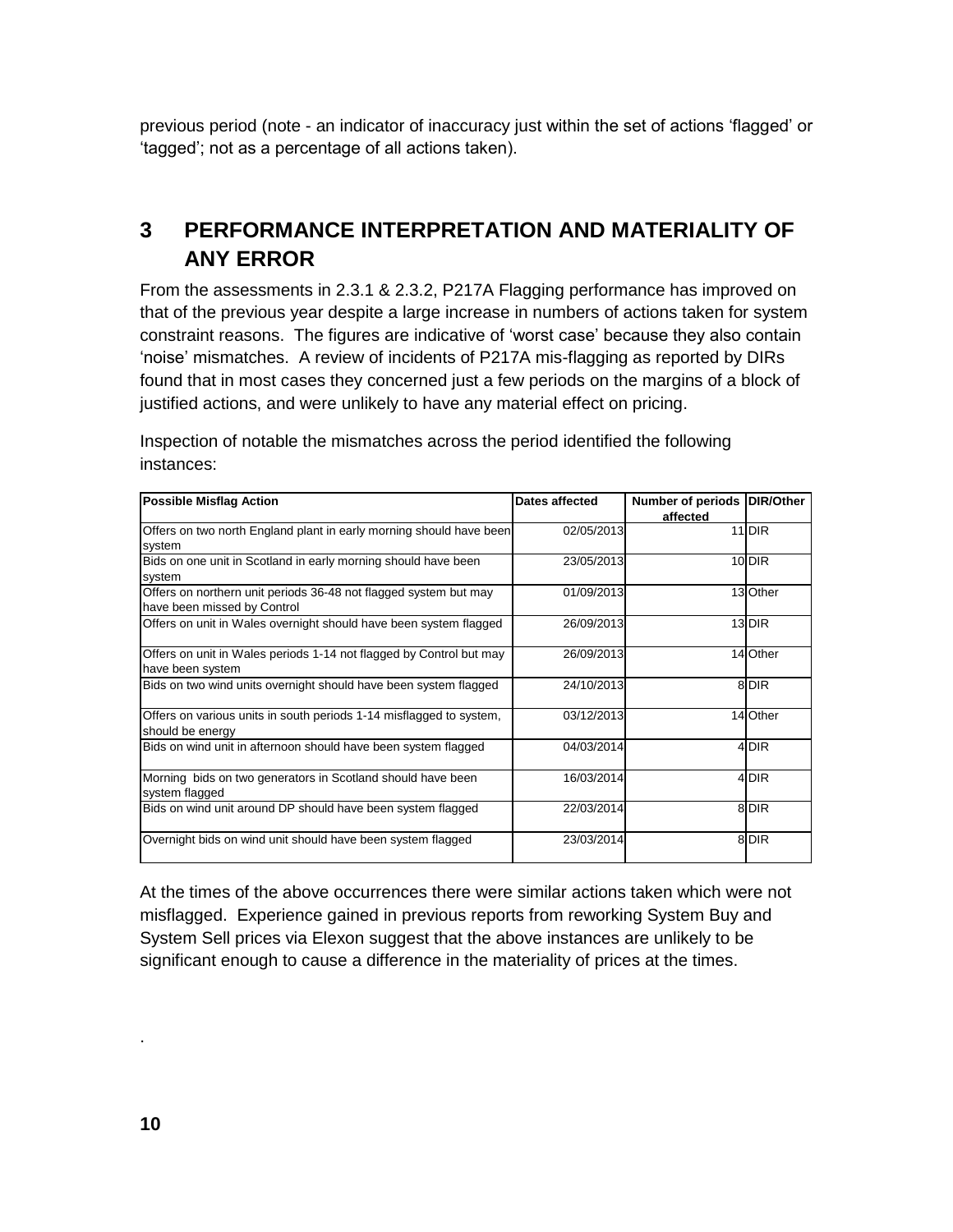previous period (note - an indicator of inaccuracy just within the set of actions 'flagged' or 'tagged'; not as a percentage of all actions taken).

## <span id="page-9-0"></span>**3 PERFORMANCE INTERPRETATION AND MATERIALITY OF ANY ERROR**

From the assessments in 2.3.1 & 2.3.2, P217A Flagging performance has improved on that of the previous year despite a large increase in numbers of actions taken for system constraint reasons. The figures are indicative of 'worst case' because they also contain 'noise' mismatches. A review of incidents of P217A mis-flagging as reported by DIRs found that in most cases they concerned just a few periods on the margins of a block of justified actions, and were unlikely to have any material effect on pricing.

Inspection of notable the mismatches across the period identified the following instances:

| <b>Possible Misflag Action</b>                                                                  | Dates affected | <b>Number of periods</b><br>affected | <b>DIR/Other</b>  |
|-------------------------------------------------------------------------------------------------|----------------|--------------------------------------|-------------------|
| Offers on two north England plant in early morning should have been<br>system                   | 02/05/2013     |                                      | 11 <sub>DIR</sub> |
| Bids on one unit in Scotland in early morning should have been<br>system                        | 23/05/2013     |                                      | 10 DIR            |
| Offers on northern unit periods 36-48 not flagged system but may<br>have been missed by Control | 01/09/2013     |                                      | 13 Other          |
| Offers on unit in Wales overnight should have been system flagged                               | 26/09/2013     |                                      | 13 DIR            |
| Offers on unit in Wales periods 1-14 not flagged by Control but may<br>have been system         | 26/09/2013     |                                      | 14 Other          |
| Bids on two wind units overnight should have been system flagged                                | 24/10/2013     |                                      | 8 DIR             |
| Offers on various units in south periods 1-14 misflagged to system,<br>should be energy         | 03/12/2013     |                                      | 14 Other          |
| Bids on wind unit in afternoon should have been system flagged                                  | 04/03/2014     |                                      | 4 DIR             |
| Morning bids on two generators in Scotland should have been<br>system flagged                   | 16/03/2014     |                                      | 4 DIR             |
| Bids on wind unit around DP should have been system flagged                                     | 22/03/2014     |                                      | 8 DIR             |
| Overnight bids on wind unit should have been system flagged                                     | 23/03/2014     |                                      | 8 DIR             |

At the times of the above occurrences there were similar actions taken which were not misflagged. Experience gained in previous reports from reworking System Buy and System Sell prices via Elexon suggest that the above instances are unlikely to be significant enough to cause a difference in the materiality of prices at the times.

.